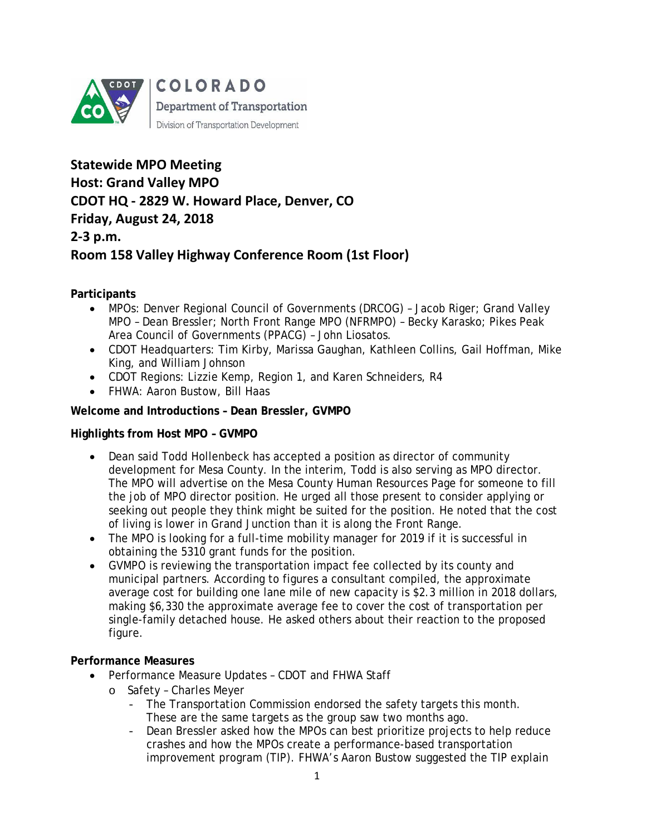

**Statewide MPO Meeting Host: Grand Valley MPO CDOT HQ - 2829 W. Howard Place, Denver, CO Friday, August 24, 2018 2-3 p.m. Room 158 Valley Highway Conference Room (1st Floor)**

**Participants** 

- MPOs: Denver Regional Council of Governments (DRCOG) Jacob Riger; Grand Valley MPO – Dean Bressler; North Front Range MPO (NFRMPO) – Becky Karasko; Pikes Peak Area Council of Governments (PPACG) – John Liosatos.
- CDOT Headquarters: Tim Kirby, Marissa Gaughan, Kathleen Collins, Gail Hoffman, Mike King, and William Johnson
- CDOT Regions: Lizzie Kemp, Region 1, and Karen Schneiders, R4
- FHWA: Aaron Bustow, Bill Haas

# **Welcome and Introductions – Dean Bressler, GVMPO**

## **Highlights from Host MPO – GVMPO**

- Dean said Todd Hollenbeck has accepted a position as director of community development for Mesa County. In the interim, Todd is also serving as MPO director. The MPO will advertise on the Mesa County Human Resources Page for someone to fill the job of MPO director position. He urged all those present to consider applying or seeking out people they think might be suited for the position. He noted that the cost of living is lower in Grand Junction than it is along the Front Range.
- The MPO is looking for a full-time mobility manager for 2019 if it is successful in obtaining the 5310 grant funds for the position.
- GVMPO is reviewing the transportation impact fee collected by its county and municipal partners. According to figures a consultant compiled, the approximate average cost for building one lane mile of new capacity is \$2.3 million in 2018 dollars, making \$6,330 the approximate average fee to cover the cost of transportation per single-family detached house. He asked others about their reaction to the proposed figure.

# **Performance Measures**

- Performance Measure Updates CDOT and FHWA Staff
	- o Safety Charles Meyer
		- The Transportation Commission endorsed the safety targets this month. These are the same targets as the group saw two months ago.
		- Dean Bressler asked how the MPOs can best prioritize projects to help reduce crashes and how the MPOs create a performance-based transportation improvement program (TIP). FHWA's Aaron Bustow suggested the TIP explain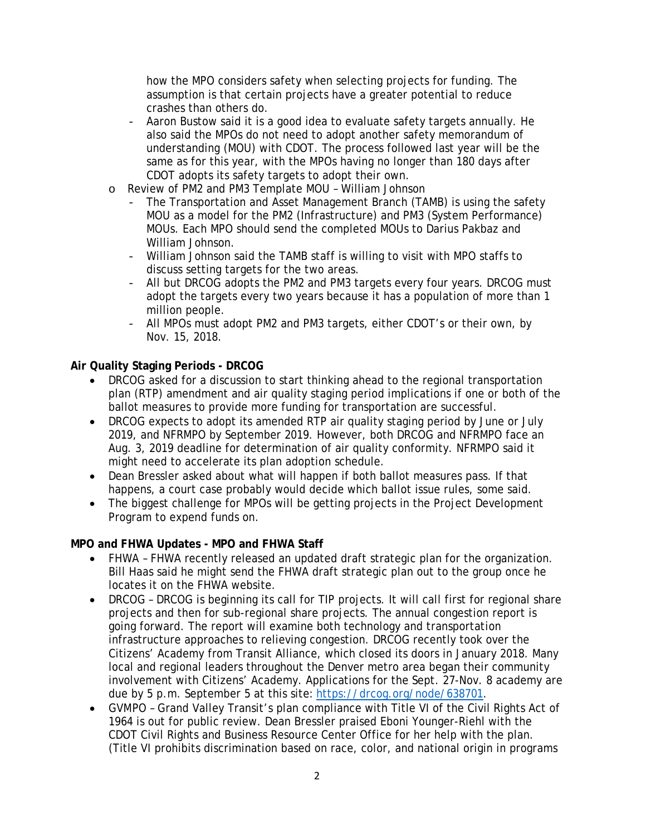how the MPO considers safety when selecting projects for funding. The assumption is that certain projects have a greater potential to reduce crashes than others do.

- Aaron Bustow said it is a good idea to evaluate safety targets annually. He also said the MPOs do not need to adopt another safety memorandum of understanding (MOU) with CDOT. The process followed last year will be the same as for this year, with the MPOs having no longer than 180 days after CDOT adopts its safety targets to adopt their own.
- o Review of PM2 and PM3 Template MOU William Johnson
	- The Transportation and Asset Management Branch (TAMB) is using the safety MOU as a model for the PM2 (Infrastructure) and PM3 (System Performance) MOUs. Each MPO should send the completed MOUs to Darius Pakbaz and William Johnson.
	- William Johnson said the TAMB staff is willing to visit with MPO staffs to discuss setting targets for the two areas.
	- All but DRCOG adopts the PM2 and PM3 targets every four years. DRCOG must adopt the targets every two years because it has a population of more than 1 million people.
	- All MPOs must adopt PM2 and PM3 targets, either CDOT's or their own, by Nov. 15, 2018.

## **Air Quality Staging Periods - DRCOG**

- DRCOG asked for a discussion to start thinking ahead to the regional transportation plan (RTP) amendment and air quality staging period implications if one or both of the ballot measures to provide more funding for transportation are successful.
- DRCOG expects to adopt its amended RTP air quality staging period by June or July 2019, and NFRMPO by September 2019. However, both DRCOG and NFRMPO face an Aug. 3, 2019 deadline for determination of air quality conformity. NFRMPO said it might need to accelerate its plan adoption schedule.
- Dean Bressler asked about what will happen if both ballot measures pass. If that happens, a court case probably would decide which ballot issue rules, some said.
- The biggest challenge for MPOs will be getting projects in the Project Development Program to expend funds on.

## **MPO and FHWA Updates - MPO and FHWA Staff**

- *FHWA* FHWA recently released an updated draft strategic plan for the organization. Bill Haas said he might send the FHWA draft strategic plan out to the group once he locates it on the FHWA website.
- *DRCOG* DRCOG is beginning its call for TIP projects. It will call first for regional share projects and then for sub-regional share projects. The annual congestion report is going forward. The report will examine both technology and transportation infrastructure approaches to relieving congestion. DRCOG recently took over the Citizens' Academy from Transit Alliance, which closed its doors in January 2018. Many local and regional leaders throughout the Denver metro area began their community involvement with Citizens' Academy. Applications for the Sept. 27-Nov. 8 academy are due by 5 p.m. September 5 at this site: [https://drcog.org/node/638701.](https://drcog.org/node/638701)
- *GVMPO* Grand Valley Transit's plan compliance with Title VI of the Civil Rights Act of 1964 is out for public review. Dean Bressler praised Eboni Younger-Riehl with the CDOT Civil Rights and Business Resource Center Office for her help with the plan. (Title VI prohibits discrimination based on race, color, and national origin in programs